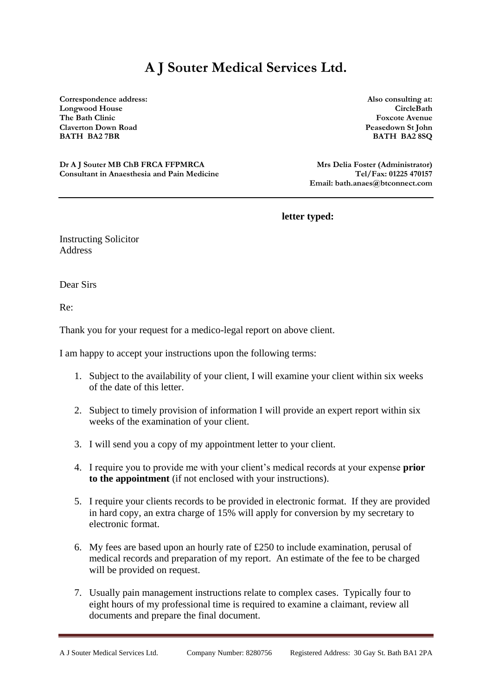## **A J Souter Medical Services Ltd.**

**Correspondence address: Also consulting at: Longwood House CircleBath The Bath Clinic Foxcote Avenue Claverton Down Road Peasedown St John BATH BA2 7BR BATH BA2 8SQ**

**Dr A J Souter MB ChB FRCA FFPMRCA Mrs Delia Foster (Administrator) Mrs Delia Foster (Administrator) Consultant in Anaesthesia and Pain Medicine Tel/Fax: 01225 470157**

**Email: bath.anaes@btconnect.com**

**letter typed:** 

Instructing Solicitor Address

Dear Sirs

Re:

Thank you for your request for a medico-legal report on above client.

I am happy to accept your instructions upon the following terms:

- 1. Subject to the availability of your client, I will examine your client within six weeks of the date of this letter.
- 2. Subject to timely provision of information I will provide an expert report within six weeks of the examination of your client.
- 3. I will send you a copy of my appointment letter to your client.
- 4. I require you to provide me with your client's medical records at your expense **prior to the appointment** (if not enclosed with your instructions).
- 5. I require your clients records to be provided in electronic format. If they are provided in hard copy, an extra charge of 15% will apply for conversion by my secretary to electronic format.
- 6. My fees are based upon an hourly rate of  $\text{\pounds}250$  to include examination, perusal of medical records and preparation of my report. An estimate of the fee to be charged will be provided on request.
- 7. Usually pain management instructions relate to complex cases. Typically four to eight hours of my professional time is required to examine a claimant, review all documents and prepare the final document.